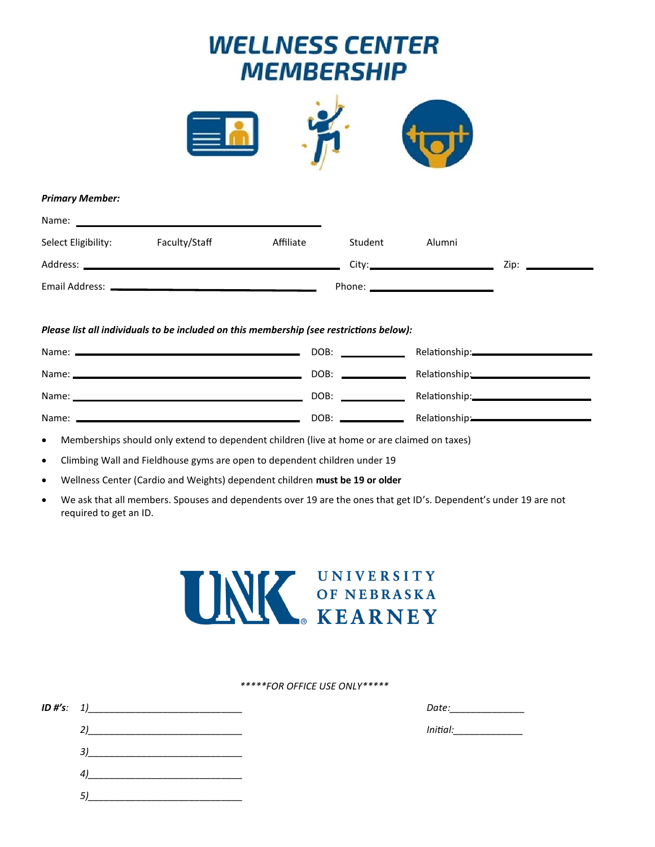# **WELLNESS CENTER MEMBERSHIP**



## *Primary Member:*

| Name:               |                                                                                         |           |         |        |                     |  |
|---------------------|-----------------------------------------------------------------------------------------|-----------|---------|--------|---------------------|--|
| Select Eligibility: | Faculty/Staff                                                                           | Affiliate | Student | Alumni |                     |  |
|                     |                                                                                         |           |         |        | Zip: ______________ |  |
|                     |                                                                                         |           |         |        |                     |  |
|                     |                                                                                         |           |         |        |                     |  |
|                     | Please list all individuals to be included on this membership (see restrictions below): |           |         |        |                     |  |

|         | DOB:<br>the control of the control of the control of |                           |
|---------|------------------------------------------------------|---------------------------|
| Name: _ | DOB:                                                 |                           |
| Name:   | DOB:                                                 | Relationship: 2000        |
| Name:   | DOB:                                                 | Relationship:<br><u> </u> |

Memberships should only extend to dependent children (live at home or are claimed on taxes)

Climbing Wall and Fieldhouse gyms are open to dependent children under 19

- Wellness Center (Cardio and Weights) dependent children **must be 19 or older**
- We ask that all members. Spouses and dependents over 19 are the ones that get ID's. Dependent's under 19 are not required to get an ID.



*\*\*\*\*\*FOR OFFICE USE ONLY\*\*\*\*\**

*ID #'s: 1)\_\_\_\_\_\_\_\_\_\_\_\_\_\_\_\_\_\_\_\_\_\_\_\_\_\_\_\_\_ Date:\_\_\_\_\_\_\_\_\_\_\_\_\_\_*

*2)\_\_\_\_\_\_\_\_\_\_\_\_\_\_\_\_\_\_\_\_\_\_\_\_\_\_\_\_\_ Initial:\_\_\_\_\_\_\_\_\_\_\_\_\_*